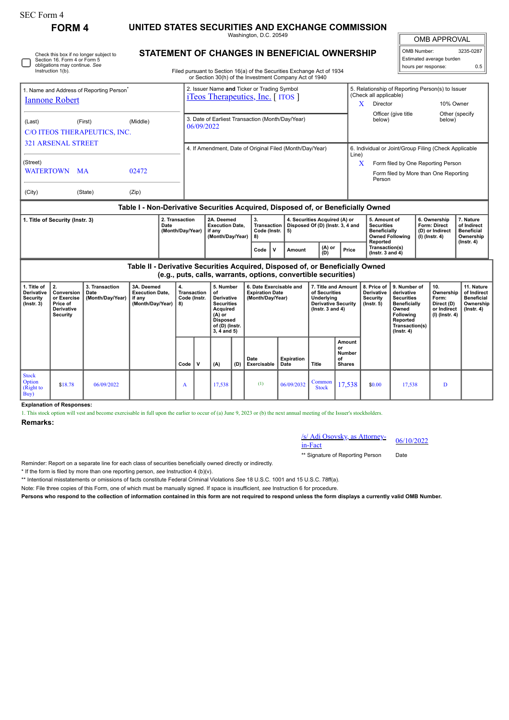| SEC Form 4                                                                                                                   |                                                                                                                                                 |                                            |                                                                                  |                                    |                                                                                                                                                                                         |                                                                                                                                |     |                                                                       |                           |                                                                   |                                                                                                          |                                                                                                           |                                                                                                                                         |                                                               |                                                                          |                                                                                 |  |
|------------------------------------------------------------------------------------------------------------------------------|-------------------------------------------------------------------------------------------------------------------------------------------------|--------------------------------------------|----------------------------------------------------------------------------------|------------------------------------|-----------------------------------------------------------------------------------------------------------------------------------------------------------------------------------------|--------------------------------------------------------------------------------------------------------------------------------|-----|-----------------------------------------------------------------------|---------------------------|-------------------------------------------------------------------|----------------------------------------------------------------------------------------------------------|-----------------------------------------------------------------------------------------------------------|-----------------------------------------------------------------------------------------------------------------------------------------|---------------------------------------------------------------|--------------------------------------------------------------------------|---------------------------------------------------------------------------------|--|
|                                                                                                                              | <b>FORM4</b>                                                                                                                                    |                                            | UNITED STATES SECURITIES AND EXCHANGE COMMISSION<br>Washington, D.C. 20549       |                                    |                                                                                                                                                                                         |                                                                                                                                |     |                                                                       |                           |                                                                   |                                                                                                          |                                                                                                           |                                                                                                                                         |                                                               | <b>OMB APPROVAL</b>                                                      |                                                                                 |  |
| Check this box if no longer subject to<br>Section 16. Form 4 or Form 5<br>obligations may continue. See<br>Instruction 1(b). |                                                                                                                                                 |                                            |                                                                                  |                                    | <b>STATEMENT OF CHANGES IN BENEFICIAL OWNERSHIP</b><br>Filed pursuant to Section 16(a) of the Securities Exchange Act of 1934<br>or Section 30(h) of the Investment Company Act of 1940 |                                                                                                                                |     |                                                                       |                           |                                                                   |                                                                                                          |                                                                                                           | OMB Number:<br>3235-0287<br>Estimated average burden<br>hours per response:<br>0.5                                                      |                                                               |                                                                          |                                                                                 |  |
| 1. Name and Address of Reporting Person <sup>®</sup><br><b>Iannone Robert</b>                                                |                                                                                                                                                 |                                            |                                                                                  |                                    | 2. Issuer Name and Ticker or Trading Symbol<br><i>iTeos Therapeutics, Inc.</i> [ <i>ITOS</i> ]                                                                                          |                                                                                                                                |     |                                                                       |                           |                                                                   |                                                                                                          | (Check all applicable)<br>X<br>Director                                                                   |                                                                                                                                         | 5. Relationship of Reporting Person(s) to Issuer<br>10% Owner |                                                                          |                                                                                 |  |
| (Last)<br>(First)<br>C/O ITEOS THERAPEUTICS, INC.                                                                            |                                                                                                                                                 |                                            | (Middle)                                                                         |                                    | 3. Date of Earliest Transaction (Month/Day/Year)<br>06/09/2022                                                                                                                          |                                                                                                                                |     |                                                                       |                           |                                                                   |                                                                                                          | Other (specify<br>Officer (give title<br>below)<br>below)                                                 |                                                                                                                                         |                                                               |                                                                          |                                                                                 |  |
| <b>321 ARSENAL STREET</b><br>(Street)                                                                                        |                                                                                                                                                 |                                            |                                                                                  |                                    | 4. If Amendment, Date of Original Filed (Month/Day/Year)                                                                                                                                |                                                                                                                                |     |                                                                       |                           |                                                                   |                                                                                                          | 6. Individual or Joint/Group Filing (Check Applicable<br>Line)<br>X<br>Form filed by One Reporting Person |                                                                                                                                         |                                                               |                                                                          |                                                                                 |  |
| WATERTOWN MA<br>02472<br>(City)<br>(State)<br>(Zip)                                                                          |                                                                                                                                                 |                                            |                                                                                  |                                    | Person                                                                                                                                                                                  |                                                                                                                                |     |                                                                       |                           |                                                                   |                                                                                                          |                                                                                                           | Form filed by More than One Reporting                                                                                                   |                                                               |                                                                          |                                                                                 |  |
|                                                                                                                              |                                                                                                                                                 |                                            | Table I - Non-Derivative Securities Acquired, Disposed of, or Beneficially Owned |                                    |                                                                                                                                                                                         |                                                                                                                                |     |                                                                       |                           |                                                                   |                                                                                                          |                                                                                                           |                                                                                                                                         |                                                               |                                                                          |                                                                                 |  |
| 1. Title of Security (Instr. 3)<br>Date                                                                                      |                                                                                                                                                 |                                            |                                                                                  | 2. Transaction<br>(Month/Day/Year) |                                                                                                                                                                                         | 2A. Deemed<br><b>Execution Date.</b><br>if any<br>(Month/Day/Year)                                                             |     | 3.<br><b>Transaction</b><br>Code (Instr.<br>5)<br>8)                  |                           | 4. Securities Acquired (A) or<br>Disposed Of (D) (Instr. 3, 4 and |                                                                                                          | 5. Amount of<br><b>Securities</b><br><b>Beneficially</b>                                                  | <b>Owned Following</b>                                                                                                                  |                                                               | 6. Ownership<br>Form: Direct<br>(D) or Indirect<br>$(I)$ (Instr. 4)      | 7. Nature<br>of Indirect<br><b>Beneficial</b><br>Ownership                      |  |
|                                                                                                                              |                                                                                                                                                 |                                            |                                                                                  |                                    |                                                                                                                                                                                         |                                                                                                                                |     | Code<br>V                                                             | Amount                    | (A) or<br>(D)                                                     | Price                                                                                                    | Reported<br>Transaction(s)<br>$($ lnstr. 3 and 4 $)$                                                      |                                                                                                                                         |                                                               |                                                                          | $($ Instr. 4 $)$                                                                |  |
|                                                                                                                              | Table II - Derivative Securities Acquired, Disposed of, or Beneficially Owned<br>(e.g., puts, calls, warrants, options, convertible securities) |                                            |                                                                                  |                                    |                                                                                                                                                                                         |                                                                                                                                |     |                                                                       |                           |                                                                   |                                                                                                          |                                                                                                           |                                                                                                                                         |                                                               |                                                                          |                                                                                 |  |
| 1. Title of<br>Derivative<br><b>Security</b><br>$($ Instr. 3 $)$                                                             | 2.<br>Conversion<br>or Exercise<br>Price of<br><b>Derivative</b><br><b>Security</b>                                                             | 3. Transaction<br>Date<br>(Month/Day/Year) | 3A. Deemed<br><b>Execution Date,</b><br>if any<br>(Month/Day/Year)               | 4.<br>8)                           | Transaction<br>Code (Instr.                                                                                                                                                             | 5. Number<br>of<br>Derivative<br><b>Securities</b><br>Acquired<br>$(A)$ or<br><b>Disposed</b><br>of (D) (Instr.<br>3, 4 and 5) |     | 6. Date Exercisable and<br><b>Expiration Date</b><br>(Month/Day/Year) |                           |                                                                   | 7. Title and Amount<br>of Securities<br>Underlying<br><b>Derivative Security</b><br>( $lnstr. 3 and 4$ ) |                                                                                                           | 9. Number of<br>derivative<br><b>Securities</b><br>Beneficially<br>Owned<br>Following<br>Reported<br>Transaction(s)<br>$($ Instr. 4 $)$ |                                                               | 10.<br>Ownership<br>Form:<br>Direct (D)<br>or Indirect<br>(I) (Instr. 4) | 11. Nature<br>of Indirect<br><b>Beneficial</b><br>Ownership<br>$($ Instr. 4 $)$ |  |
|                                                                                                                              |                                                                                                                                                 |                                            |                                                                                  | Code                               | $\mathbf{v}$                                                                                                                                                                            | (A)                                                                                                                            | (D) | Date<br>Exercisable                                                   | <b>Expiration</b><br>Date | Title                                                             | Amount<br>or<br><b>Number</b><br>οf<br><b>Shares</b>                                                     |                                                                                                           |                                                                                                                                         |                                                               |                                                                          |                                                                                 |  |
| <b>Stock</b><br>Option<br>(Right to<br>Buv                                                                                   | \$18.78                                                                                                                                         | 06/09/2022                                 |                                                                                  | A                                  |                                                                                                                                                                                         | 17,538                                                                                                                         |     | (1)                                                                   | 06/09/2032                | Common<br><b>Stock</b>                                            | 17,538                                                                                                   | \$0.00                                                                                                    | 17,538                                                                                                                                  |                                                               | D                                                                        |                                                                                 |  |

**Explanation of Responses:**

1. This stock option will vest and become exercisable in full upon the earlier to occur of (a) June 9, 2023 or (b) the next annual meeting of the Issuer's stockholders.

## **Remarks:**

/s/ Adi Osovsky, as Attorney-in-Fact 06/10/2022

\*\* Signature of Reporting Person Date

Reminder: Report on a separate line for each class of securities beneficially owned directly or indirectly.

\* If the form is filed by more than one reporting person, *see* Instruction 4 (b)(v).

\*\* Intentional misstatements or omissions of facts constitute Federal Criminal Violations *See* 18 U.S.C. 1001 and 15 U.S.C. 78ff(a).

Note: File three copies of this Form, one of which must be manually signed. If space is insufficient, *see* Instruction 6 for procedure.

**Persons who respond to the collection of information contained in this form are not required to respond unless the form displays a currently valid OMB Number.**